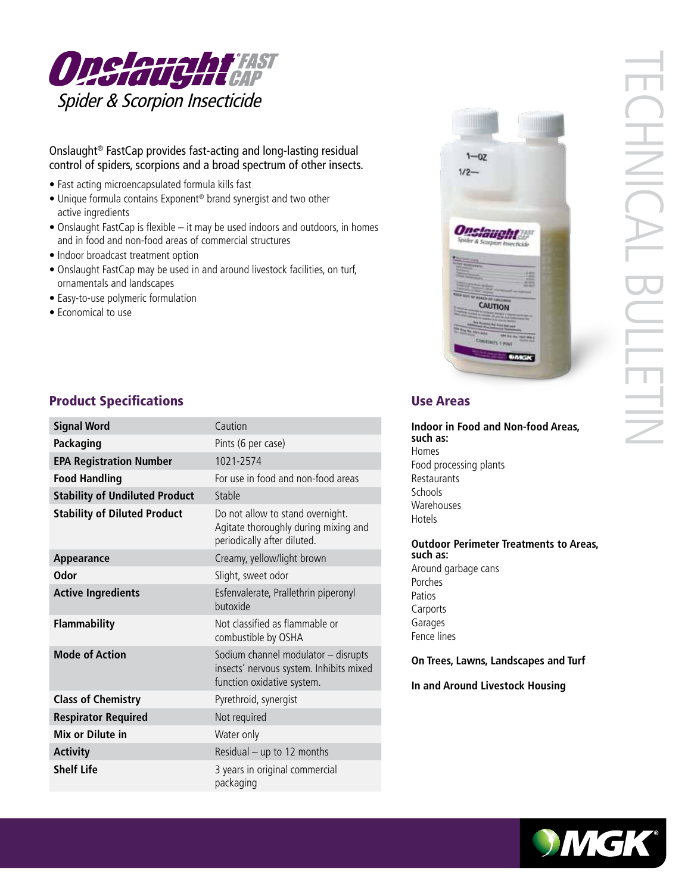

#### Onslaught® FastCap provides fast-acting and long-lasting residual control of spiders, scorpions and a broad spectrum of other insects.

- Fast acting microencapsulated formula kills fast
- Unique formula contains Exponent® brand synergist and two other active ingredients
- Onslaught FastCap is flexible it may be used indoors and outdoors, in homes and in food and non-food areas of commercial structures
- Indoor broadcast treatment option
- Onslaught FastCap may be used in and around livestock facilities, on turf, ornamentals and landscapes
- Easy-to-use polymeric formulation
- Economical to use



| <b>Signal Word</b>                    | Caution                                                                                                      |
|---------------------------------------|--------------------------------------------------------------------------------------------------------------|
| Packaging                             | Pints (6 per case)                                                                                           |
| <b>EPA Registration Number</b>        | 1021-2574                                                                                                    |
| <b>Food Handling</b>                  | For use in food and non-food areas                                                                           |
| <b>Stability of Undiluted Product</b> | Stable                                                                                                       |
| <b>Stability of Diluted Product</b>   | Do not allow to stand overnight.<br>Agitate thoroughly during mixing and<br>periodically after diluted.      |
| Appearance                            | Creamy, yellow/light brown                                                                                   |
| Odor                                  | Slight, sweet odor                                                                                           |
| <b>Active Ingredients</b>             | Esfenvalerate, Prallethrin piperonyl<br>butoxide                                                             |
| <b>Flammability</b>                   | Not classified as flammable or<br>combustible by OSHA                                                        |
| <b>Mode of Action</b>                 | Sodium channel modulator - disrupts<br>insects' nervous system. Inhibits mixed<br>function oxidative system. |
| <b>Class of Chemistry</b>             | Pyrethroid, synergist                                                                                        |
| <b>Respirator Required</b>            | Not required                                                                                                 |
| Mix or Dilute in                      | Water only                                                                                                   |
| <b>Activity</b>                       | Residual - up to 12 months                                                                                   |
| <b>Shelf Life</b>                     | 3 years in original commercial<br>packaging                                                                  |

**Indoor in Food and Non-food Areas, such as:** Homes Food processing plants Restaurants Schools Warehouses Hotels

 $1 - 07$  $1/2 -$ 

**Onslaught** 

CAUTION

**Outdoor Perimeter Treatments to Areas, such as:** Around garbage cans Porches Patios Carports Garages Fence lines

**On Trees, Lawns, Landscapes and Turf**

**In and Around Livestock Housing**